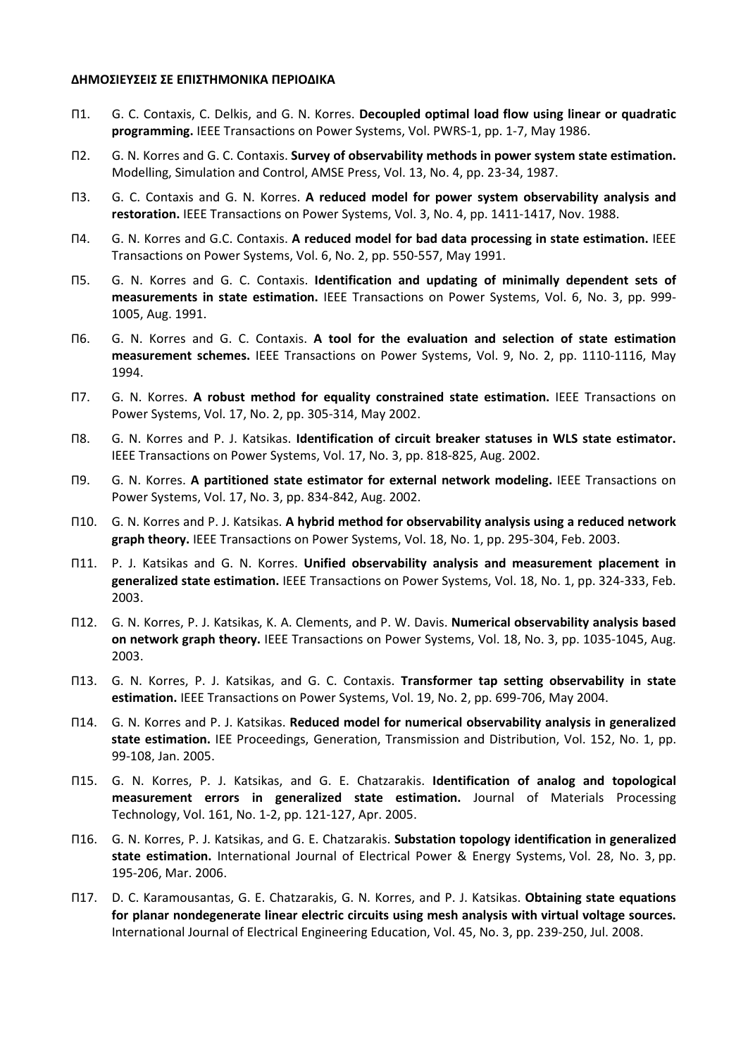## **ΔΗΜΟΣΙΕΥΣΕΙΣ ΣΕ ΕΠΙΣΤΗΜΟΝΙΚΑ ΠΕΡΙΟΔΙΚΑ**

- Π1. G. C. Contaxis, C. Delkis, and G. N. Korres. **Decoupled optimal load flow using linear or quadratic programming.** IEEE Transactions on Power Systems, Vol. PWRS-1, pp. 1-7, May 1986.
- Π2. G. N. Korres and G. C. Contaxis. **Survey of observability methods in power system state estimation.** Modelling, Simulation and Control, AMSE Press, Vol. 13, No. 4, pp. 23-34, 1987.
- Π3. G. C. Contaxis and G. N. Korres. **A reduced model for power system observability analysis and restoration.** IEEE Transactions on Power Systems, Vol. 3, Νo. 4, pp. 1411-1417, Nov. 1988.
- Π4. G. N. Korres and G.C. Contaxis. **A reduced model for bad data processing in state estimation.** IEEE Transactions on Power Systems, Vol. 6, Νo. 2, pp. 550-557, May 1991.
- Π5. G. N. Korres and G. C. Contaxis. **Identification and updating of minimally dependent sets of measurements in state estimation.** IEEE Transactions on Power Systems, Vol. 6, Νo. 3, pp. 999- 1005, Aug. 1991.
- Π6. G. N. Korres and G. C. Contaxis. **A tool for the evaluation and selection of state estimation measurement schemes.** IEEE Transactions on Power Systems, Vol. 9, Νo. 2, pp. 1110-1116, May 1994.
- Π7. G. N. Korres. **A robust method for equality constrained state estimation.** IEEE Transactions on Power Systems, Vol. 17, Νo. 2, pp. 305-314, May 2002.
- Π8. G. N. Korres and P. J. Katsikas. **Identification of circuit breaker statuses in WLS state estimator.** IEEE Transactions on Power Systems, Vol. 17, Νo. 3, pp. 818-825, Aug. 2002.
- Π9. G. N. Korres. **A partitioned state estimator for external network modeling.** IEEE Transactions on Power Systems, Vol. 17, Νo. 3, pp. 834-842, Aug. 2002.
- Π10. G. N. Korres and P. J. Katsikas. **A hybrid method for observability analysis using a reduced network graph theory.** IEEE Transactions on Power Systems, Vol. 18, Νo. 1, pp. 295-304, Feb. 2003.
- Π11. P. J. Katsikas and G. N. Korres. **Unified observability analysis and measurement placement in generalized state estimation.** IEEE Transactions on Power Systems, Vol. 18, Νo. 1, pp. 324-333, Feb. 2003.
- Π12. G. N. Korres, P. J. Katsikas, K. A. Clements, and P. W. Davis. **Numerical observability analysis based on network graph theory.** IEEE Transactions on Power Systems, Vol. 18, Νo. 3, pp. 1035-1045, Aug. 2003.
- Π13. G. N. Korres, P. J. Katsikas, and G. C. Contaxis. **Transformer tap setting observability in state estimation.** IEEE Transactions on Power Systems, Vol. 19, Νo. 2, pp. 699-706, May 2004.
- Π14. G. N. Korres and P. J. Katsikas. **Reduced model for numerical observability analysis in generalized state estimation.** IEE Proceedings, [Generation, Transmission and Distribution, V](http://ieeexplore.ieee.org/xpl/RecentIssue.jsp?punumber=2205)ol. 152, No. 1, pp. 99-108, Jan. 2005.
- Π15. G. N. Korres, P. J. Katsikas, and G. E. Chatzarakis. **Identification of analog and topological measurement errors in generalized state estimation.** Journal of Materials Processing Technology, Vol. 161, No. 1-2, pp. 121-127, Apr. 2005.
- Π16. G. N. Korres, P. J. Katsikas, and G. E. Chatzarakis. **Substation topology identification in generalized state estimation.** International Journal of Electrical Power & Energy Systems, Vol. 28, No. 3, pp. 195-206, Mar. 2006.
- Π17. D. C. Karamousantas, G. E. Chatzarakis, G. N. Korres, and P. J. Katsikas. **Obtaining state equations for planar nondegenerate linear electric circuits using mesh analysis with virtual voltage sources.** [International Journal of Electrical Engineering Education,](http://www.ingentaconnect.com/content/manup/ijeee;jsessionid=57qutdm55qtes.alice) Vol. 45, No. 3, pp. 239-250, Jul. 2008.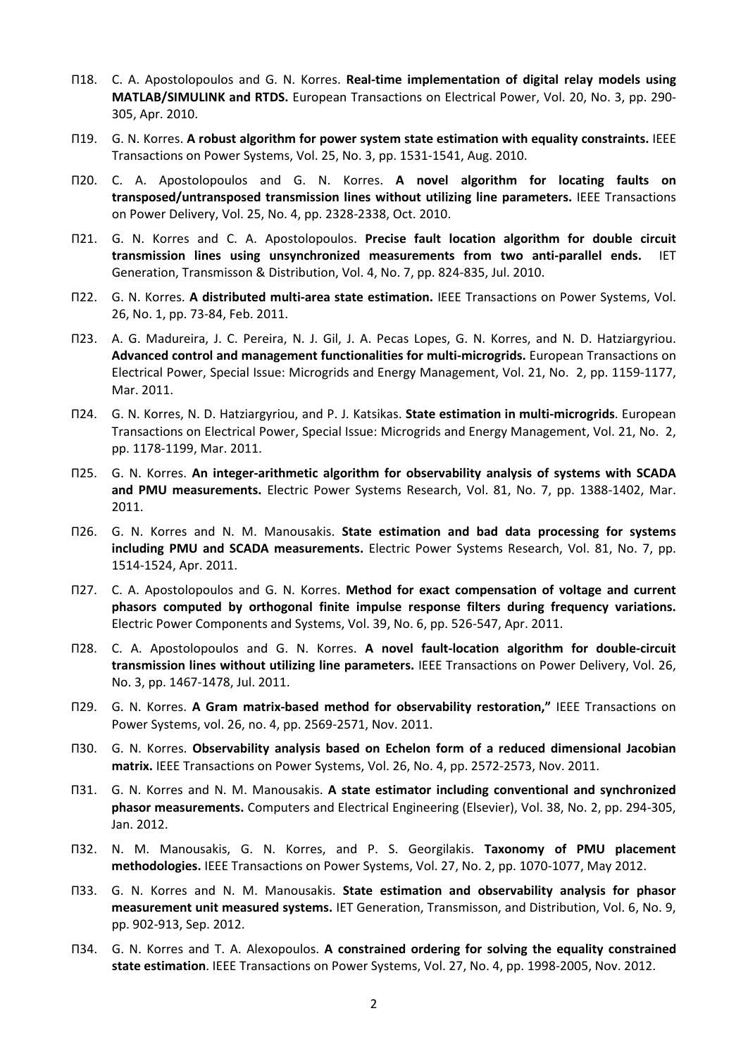- Π18. C. A. Apostolopoulos and G. N. Korres. **Real-time implementation of digital relay models using MATLAB/SIMULINK and RTDS.** European Transactions on Electrical Power, [Vol. 20, No. 3, p](http://onlinelibrary.wiley.com/doi/10.1002/etep.v20:3/issuetoc)p. 290- 305, Apr. 2010.
- Π19. G. N. Korres. **A robust algorithm for power system state estimation with equality constraints.** IEEE Transactions on Power Systems, Vol. 25, Νo. 3, pp. 1531-1541, Aug. 2010.
- Π20. C. A. Apostolopoulos and G. N. Korres. **A novel algorithm for locating faults on transposed/untransposed transmission lines without utilizing line parameters.** IEEE Transactions on Power Delivery, Vol. 25, No. 4, pp. 2328-2338, Oct. 2010.
- Π21. G. N. Korres and C. A. Apostolopoulos. **Precise fault location algorithm for double circuit transmission lines using unsynchronized measurements from two anti-parallel ends.** IET Generation, Transmisson & Distribution, Vol. 4, No. 7, pp. 824-835, Jul. 2010.
- Π22. G. N. Korres. **A distributed multi-area state estimation.** IEEE Transactions on Power Systems, Vol. 26, Νo. 1, pp. 73-84, Feb. 2011.
- Π23. A. G. Madureira, J. C. Pereira, N. J. Gil, J. A. Pecas Lopes, G. N. Korres, and N. D. Hatziargyriou. **Advanced control and management functionalities for multi-microgrids.** European Transactions on Electrical Power, Special Issue: Microgrids and Energy Management, [Vol. 21, Νο. 2, p](http://onlinelibrary.wiley.com/doi/10.1002/etep.v21.2/issuetoc)p. 1159-1177, Mar. 2011.
- Π24. G. N. Korres, N. D. Hatziargyriou, and P. J. Katsikas. **State estimation in multi-microgrids**. European Transactions on Electrical Power, Special Issue: Microgrids and Energy Management, [Vol. 21, Νο. 2,](http://onlinelibrary.wiley.com/doi/10.1002/etep.v21.2/issuetoc)  pp. 1178-1199, Mar. 2011.
- Π25. G. N. Korres. **An integer-arithmetic algorithm for observability analysis of systems with SCADA and PMU measurements.** Electric Power Systems Research, Vol. 81, No. 7, pp. 1388-1402, Mar. 2011.
- Π26. G. N. Korres and N. M. Manousakis. **State estimation and bad data processing for systems including PMU and SCADA measurements.** Electric Power Systems Research, Vol. 81, Νο. 7, pp. 1514-1524, Apr. 2011.
- Π27. C. A. Apostolopoulos and G. N. Korres. **Method for exact compensation of voltage and current phasors computed by orthogonal finite impulse response filters during frequency variations.** [Electric Power Components and Systems,](http://www.ingentaconnect.com/content/tandf/uemp) Vol. 39, No. 6, pp. 526-547, Apr. 2011.
- Π28. C. A. Apostolopoulos and G. N. Korres. **A novel fault-location algorithm for double-circuit transmission lines without utilizing line parameters.** IEEE Transactions on Power Delivery, Vol. 26, No. 3, pp. 1467-1478, Jul. 2011.
- Π29. G. N. Korres. **A Gram matrix-based method for observability restoration,"** IEEE Transactions on Power Systems, vol. 26, no. 4, pp. 2569-2571, Nov. 2011.
- Π30. G. N. Korres. **Observability analysis based on Echelon form of a reduced dimensional Jacobian matrix.** IEEE Transactions on Power Systems, Vol. 26, No. 4, pp. 2572-2573, Nov. 2011.
- Π31. G. N. Korres and N. M. Manousakis. **A state estimator including conventional and synchronized phasor measurements.** Computers and Electrical Engineering (Elsevier), Vol. 38, Νο. 2, pp. 294-305, Jan. 2012.
- Π32. N. M. Manousakis, G. N. Korres, and P. S. Georgilakis. **Taxonomy of PMU placement methodologies.** IEEE Transactions on Power Systems, Vol. 27, No. 2, pp. 1070-1077, May 2012.
- Π33. G. N. Korres and N. M. Manousakis. **State estimation and observability analysis for phasor measurement unit measured systems.** IET Generation, Transmisson, and Distribution, Vol. 6, No. 9, pp. 902-913, Sep. 2012.
- Π34. G. N. Korres and T. A. Alexopoulos. **A constrained ordering for solving the equality constrained state estimation**. IEEE Transactions on Power Systems, Vol. 27, No. 4, pp. 1998-2005, Nov. 2012.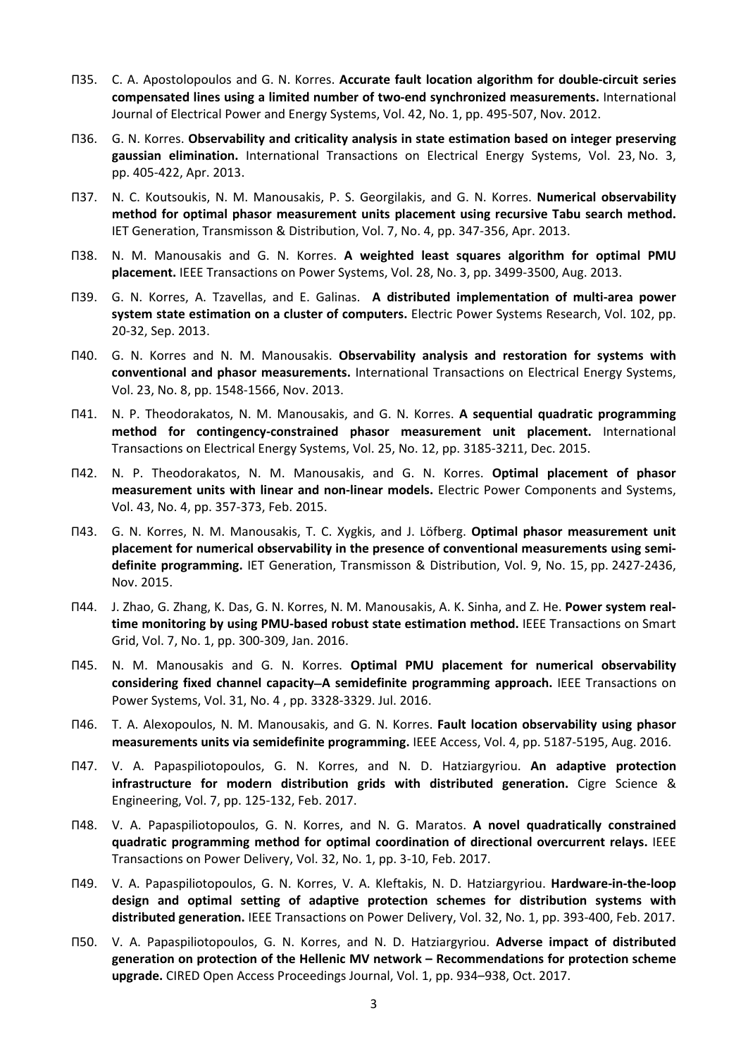- Π35. C. A. Apostolopoulos and G. N. Korres. **Accurate fault location algorithm for double-circuit series compensated lines using a limited number of two-end synchronized measurements.** International Journal of Electrical Power and Energy Systems, Vol. 42, No. 1, pp. 495-507, Nov. 2012.
- Π36. G. N. Korres. **Observability and criticality analysis in state estimation based on integer preserving gaussian elimination.** International Transactions on Electrical Energy Systems, [Vol. 23,](https://onlinelibrary.wiley.com/toc/20507038/2013/23/3) No. 3, pp. 405-422, Apr. 2013.
- Π37. N. C. Koutsoukis, N. M. Manousakis, P. S. Georgilakis, and G. N. Korres. **Numerical observability method for optimal phasor measurement units placement using recursive Tabu search method.** IET Generation, Transmisson & Distribution, Vol. 7, No. [4](https://ieeexplore.ieee.org/xpl/tocresult.jsp?isnumber=6530977), pp. 347-356, Apr. 2013.
- Π38. N. M. Manousakis and G. N. Korres. **A weighted least squares algorithm for optimal PMU placement.** IEEE Transactions on Power Systems, Vol. 28, No. 3, pp. 3499-3500, Aug. 2013.
- Π39. G. N. Korres, A. Tzavellas, and E. Galinas. **A distributed implementation of multi-area power system state estimation on a cluster of computers.** Electric Power Systems Research, Vol. 102, pp. 20-32, Sep. 2013.
- Π40. G. N. Korres and N. M. Manousakis. **Observability analysis and restoration for systems with conventional and phasor measurements.** International Transactions on Electrical Energy Systems, [Vol. 23,](https://onlinelibrary.wiley.com/toc/20507038/2013/23/8) No. 8, pp. 1548-1566, Nov. 2013.
- Π41. [N. P. Theodorakatos,](https://onlinelibrary.wiley.com/action/doSearch?ContribAuthorStored=Theodorakatos%2C+Nikolaos+P) [N. M. Manousakis,](https://onlinelibrary.wiley.com/action/doSearch?ContribAuthorStored=Manousakis%2C+Nikolaos+M) and [G. N. Korres.](https://onlinelibrary.wiley.com/action/doSearch?ContribAuthorStored=Korres%2C+George+N) **A sequential quadratic programming method for contingency-constrained phasor measurement unit placement.** International Transactions on Electrical Energy Systems, Vol. 25, No. 12, pp. 3185-3211, Dec. 2015.
- Π42. [N. P. Theodorakatos,](https://www.tandfonline.com/author/Theodorakatos%2C+Nikolaos+P) [N. M. Manousakis,](https://www.tandfonline.com/author/Manousakis%2C+Nikolaos+M) and [G. N. Korres.](https://www.tandfonline.com/author/Korres%2C+George+N) **Optimal placement of phasor measurement units with linear and non-linear models.** [Electric Power Components and Systems,](https://www.tandfonline.com/toc/uemp20/current)  Vol. 43, No. [4](https://www.tandfonline.com/toc/uemp20/43/4), pp. 357-373, Feb. 2015.
- Π43. [G. N. Korres,](https://digital-library.theiet.org/search?value1=&option1=all&value2=George+N.+Korres&option2=author) [N. M. Manousakis,](https://digital-library.theiet.org/search?value1=&option1=all&value2=Nikolaos+M.+Manousakis&option2=author) [T. C. Xygkis,](https://digital-library.theiet.org/search?value1=&option1=all&value2=Themistoklis+C.+Xygkis&option2=author) and [J. Löfberg.](https://digital-library.theiet.org/search?value1=&option1=all&value2=Johan+L%c3%b6fberg&option2=author) **Optimal phasor measurement unit placement for numerical observability in the presence of conventional measurements using semidefinite programming.** IET Generation, Transmisson & Distribution, Vol. [9, No. 15,](https://digital-library.theiet.org/content/journals/iet-gtd/9/15) pp. 2427-2436, Nov. 2015.
- Π44. J. Zhao, G. Zhang, K. Das, G. N. Korres, N. M. Manousakis, A. K. Sinha, and Z. He. **Power system realtime monitoring by using PMU-based robust state estimation method.** IEEE Transactions on Smart Grid, Vol. 7, No. 1, pp. 300-309, Jan. 2016.
- Π45. N. M. Manousakis and G. N. Korres. **Optimal PMU placement for numerical observability considering fixed channel capacity**−**A semidefinite programming approach.** IEEE Transactions on Power Systems, Vol. 31, Νο. [4](https://ieeexplore.ieee.org/xpl/tocresult.jsp?isnumber=7463573) , pp. 3328-3329. Jul. 2016.
- Π46. [T. A. Alexopoulos, N. M. Manousakis, and](https://ieeexplore.ieee.org/author/37085868097) [G. N. Korres.](https://ieeexplore.ieee.org/author/37271439000) **Fault location observability using phasor measurements units via semidefinite programming.** IEEE Access, Vol. 4, pp. 5187-5195, Aug. 2016.
- Π47. V. A. Papaspiliotopoulos, G. N. Korres, and N. D. Hatziargyriou. **An adaptive protection infrastructure for modern distribution grids with distributed generation.** Cigre Science & Engineering, Vol. 7, pp. 125-132, Feb. 2017.
- Π48. V. A. Papaspiliotopoulos, G. N. Korres, and N. G. Maratos. **A novel quadratically constrained quadratic programming method for optimal coordination of directional overcurrent relays.** [IEEE](https://ieeexplore.ieee.org/xpl/RecentIssue.jsp?punumber=61)  [Transactions on Power Delivery,](https://ieeexplore.ieee.org/xpl/RecentIssue.jsp?punumber=61) Vol. 32, No. [1,](https://ieeexplore.ieee.org/xpl/tocresult.jsp?isnumber=7828064) pp. 3-10, Feb. 2017.
- Π49. [V. A. Papaspiliotopoulos, G. N. Korres,](https://ieeexplore.ieee.org/author/37085694496) [V. A. Kleftakis, N. D. Hatziargyriou.](https://ieeexplore.ieee.org/author/38541392100) **Hardware-in-the-loop design and optimal setting of adaptive protection schemes for distribution systems with distributed generation.** [IEEE Transactions on Power Delivery,](https://ieeexplore.ieee.org/xpl/RecentIssue.jsp?punumber=61) Vol. 32, No. [1,](https://ieeexplore.ieee.org/xpl/tocresult.jsp?isnumber=7828064) pp. 393-400, Feb. 2017.
- Π50. V. A. Papaspiliotopoulos, G. N. Korres, and N. D. Hatziargyriou. **Adverse impact of distributed generation on protection of the Hellenic MV network – Recommendations for protection scheme upgrade.** CIRED Open Access Proceedings Journal, Vol. 1, pp. 934–938, Oct. 2017.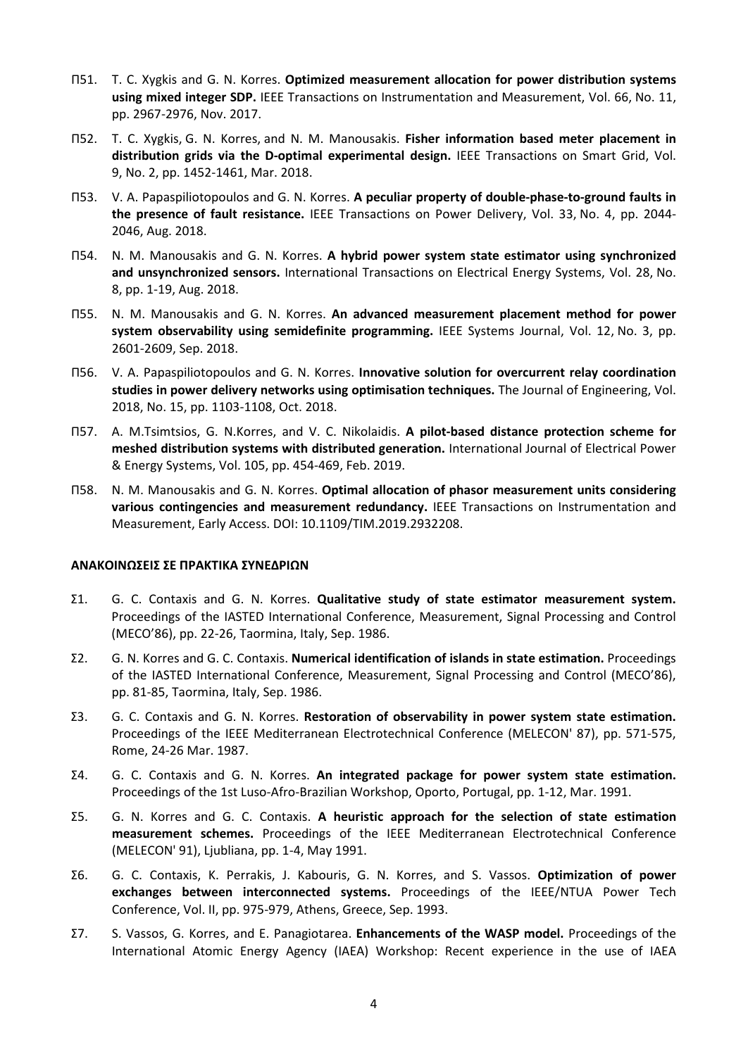- Π51. T. C. Xygkis and G. N. Korres. **Optimized measurement allocation for power distribution systems using mixed integer SDP.** [IEEE Transactions on Instrumentation and Measurement,](https://ieeexplore.ieee.org/xpl/RecentIssue.jsp?punumber=19) Vol. 66, No. [11,](https://ieeexplore.ieee.org/xpl/tocresult.jsp?isnumber=8062934) pp. 2967-2976, Nov. 2017.
- Π52. [T. C. Xygkis,](https://ieeexplore.ieee.org/author/37085870830) [G. N. Korres,](https://ieeexplore.ieee.org/author/37271439000) and [N. M. Manousakis.](https://ieeexplore.ieee.org/author/38228170500) **Fisher information based meter placement in distribution grids via the D-optimal experimental design.** [IEEE Transactions on Smart Grid,](https://ieeexplore.ieee.org/xpl/RecentIssue.jsp?punumber=5165411) Vol. 9, No. [2,](https://ieeexplore.ieee.org/xpl/tocresult.jsp?isnumber=8293963) pp. 1452-1461, Mar. 2018.
- Π53. [V. A. Papaspiliotopoulos and G. N. Korres.](https://ieeexplore.ieee.org/author/37085694496) **A peculiar property of double-phase-to-ground faults in the presence of fault resistance.** [IEEE Transactions on Power Delivery,](https://ieeexplore.ieee.org/xpl/RecentIssue.jsp?punumber=61) Vol. 33, No. [4](https://ieeexplore.ieee.org/xpl/tocresult.jsp?isnumber=8356689), pp. 2044- 2046, Aug. 2018.
- Π54. N. M. Manousakis and G. N. Korres. **A hybrid power system state estimator using synchronized and unsynchronized sensors.** International Transactions on Electrical Energy Systems, [Vol. 28,](https://onlinelibrary.wiley.com/toc/20507038/2018/28/8) No. [8,](https://onlinelibrary.wiley.com/toc/20507038/2018/28/8) pp. 1-19, Aug. 2018.
- Π55. N. M. Manousakis and G. N. Korres. **An advanced measurement placement method for power system observability using semidefinite programming.** [IEEE Systems Journal,](https://ieeexplore.ieee.org/xpl/RecentIssue.jsp?punumber=4267003) Vol. 12, No. [3,](https://ieeexplore.ieee.org/xpl/tocresult.jsp?isnumber=8444857) pp. 2601-2609, Sep. 2018.
- Π56. [V. A. Papaspiliotopoulos and G. N. Korres.](https://ieeexplore.ieee.org/author/37085694496) **Innovative solution for overcurrent relay coordination studies in power delivery networks using optimisation techniques.** [The Journal of Engineering,](https://ieeexplore.ieee.org/xpl/RecentIssue.jsp?punumber=7864294) Vol. 2018, No. [15,](https://ieeexplore.ieee.org/xpl/tocresult.jsp?isnumber=8502939) pp. 1103-1108, Oct. 2018.
- Π57. [A. M.Tsimtsios, G. N.Korres, a](https://www.sciencedirect.com/science/article/pii/S0142061518310305#!)nd [V. C. Nikolaidis.](https://www.sciencedirect.com/science/article/pii/S0142061518310305#!) **A pilot-based distance protection scheme for meshed distribution systems with distributed generation.** International Journal of Electrical Power & Energy Systems, [Vol. 105,](https://www.sciencedirect.com/science/journal/01420615/105/supp/C) pp. 454-469, Feb. 2019.
- Π58. N. M. Manousakis and G. N. Korres. **Optimal allocation of phasor measurement units considering various contingencies and measurement redundancy.** [IEEE Transactions on Instrumentation and](https://ieeexplore.ieee.org/xpl/RecentIssue.jsp?punumber=19)  [Measurement,](https://ieeexplore.ieee.org/xpl/RecentIssue.jsp?punumber=19) Early Access. DOI: [10.1109/TIM.2019.2932208.](https://doi.org/10.1109/TIM.2019.2932208)

## **ΑΝΑΚΟΙΝΩΣΕΙΣ ΣΕ ΠΡΑΚΤΙΚΑ ΣΥΝΕΔΡΙΩΝ**

- Σ1. G. C. Contaxis and G. N. Korres. **Qualitative study of state estimator measurement system.** Proceedings of the IASTED International Conference, Measurement, Signal Processing and Control (MECO'86), pp. 22-26, Taormina, Italy, Sep. 1986.
- Σ2. G. N. Korres and G. C. Contaxis. **Numerical identification of islands in state estimation.** Proceedings of the IASTED International Conference, Measurement, Signal Processing and Control (MECO'86), pp. 81-85, Taormina, Italy, Sep. 1986.
- Σ3. G. C. Contaxis and G. N. Korres. **Restoration of observability in power system state estimation.** Proceedings of the IEEE Mediterranean Electrotechnical Conference (MELECON' 87), pp. 571-575, Rome, 24-26 Mar. 1987.
- Σ4. G. C. Contaxis and G. N. Korres. **An integrated package for power system state estimation.**  Proceedings of the 1st Luso-Afro-Brazilian Workshop, Oporto, Portugal, pp. 1-12, Mar. 1991.
- Σ5. G. N. Korres and G. C. Contaxis. **A heuristic approach for the selection of state estimation measurement schemes.** Proceedings of the IEEE Mediterranean Electrotechnical Conference (MELECON' 91), Ljubliana, pp. 1-4, May 1991.
- Σ6. G. C. Contaxis, K. Perrakis, J. Kabouris, G. N. Korres, and S. Vassos. **Optimization of power exchanges between interconnected systems.** Proceedings of the IEEE/NTUA Power Tech Conference, Vol. II, pp. 975-979, Athens, Greece, Sep. 1993.
- Σ7. S. Vassos, G. Korres, and E. Panagiotarea. **Enhancements of the WASP model.** Proceedings of the International Atomic Energy Agency (IAEA) Workshop: Recent experience in the use of IAEA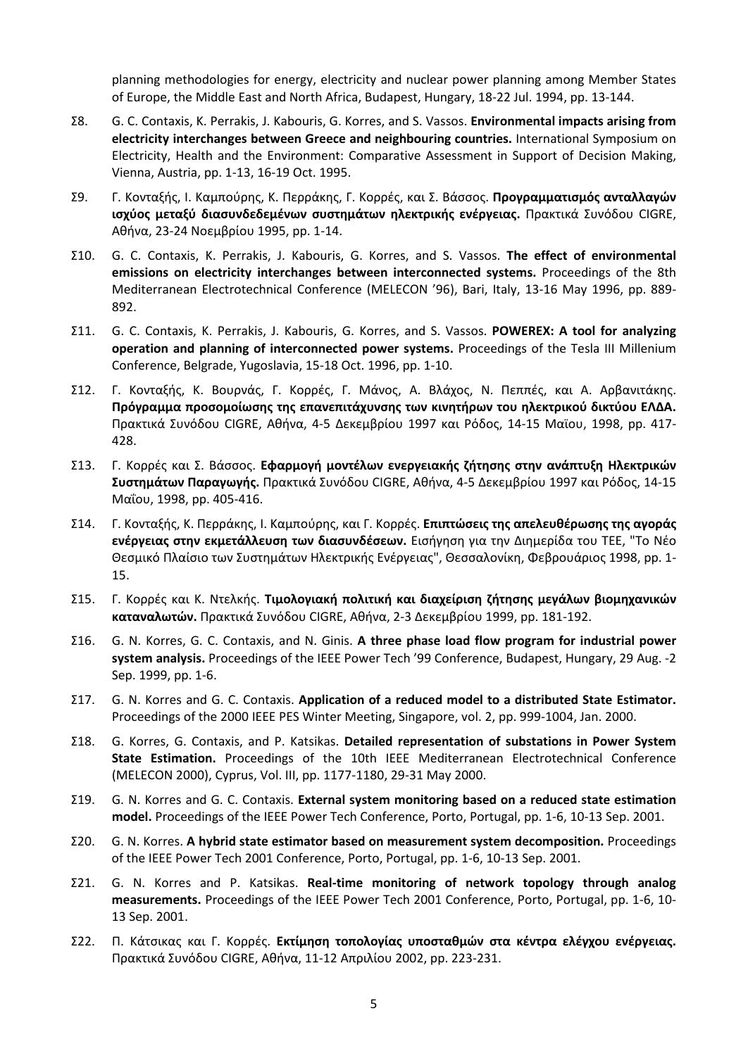planning methodologies for energy, electricity and nuclear power planning among Member States of Europe, the Middle East and North Africa, Budapest, Hungary, 18-22 Jul. 1994, pp. 13-144.

- Σ8. G. C. Contaxis, K. Perrakis, J. Kabouris, G. Korres, and S. Vassos. **Environmental impacts arising from electricity interchanges between Greece and neighbouring countries.** International Symposium on Electricity, Health and the Environment: Comparative Assessment in Support of Decision Making, Vienna, Austria, pp. 1-13, 16-19 Oct. 1995.
- Σ9. Γ. Κονταξής, Ι. Καμπούρης, Κ. Περράκης, Γ. Κορρές, και Σ. Βάσσος. **Προγραμματισμός ανταλλαγών ισχύος μεταξύ διασυνδεδεμένων συστημάτων ηλεκτρικής ενέργειας.** Πρακτικά Συνόδου CIGRE, Αθήνα, 23-24 Νοεμβρίου 1995, pp. 1-14.
- Σ10. G. C. Contaxis, K. Perrakis, J. Kabouris, G. Korres, and S. Vassos. **The effect of environmental emissions on electricity interchanges between interconnected systems.** Proceedings of the 8th Mediterranean Electrotechnical Conference (MELECON '96), Bari, Italy, 13-16 May 1996, pp. 889- 892.
- Σ11. G. C. Contaxis, K. Perrakis, J. Kabouris, G. Korres, and S. Vassos. **POWEREX: A tool for analyzing operation and planning of interconnected power systems.** Proceedings of the Tesla III Millenium Conference, Belgrade, Yugoslavia, 15-18 Oct. 1996, pp. 1-10.
- Σ12. Γ. Κονταξής, Κ. Βουρνάς, Γ. Κορρές, Γ. Μάνος, Α. Βλάχος, Ν. Πεππές, και Α. Αρβανιτάκης. **Πρόγραμμα προσομοίωσης της επανεπιτάχυνσης των κινητήρων του ηλεκτρικού δικτύου ΕΛΔΑ.** Πρακτικά Συνόδου CIGRE, Αθήνα, 4-5 Δεκεμβρίου 1997 και Ρόδος, 14-15 Μαϊου, 1998, pp. 417- 428.
- Σ13. Γ. Κορρές και Σ. Βάσσος. **Εφαρμογή μοντέλων ενεργειακής ζήτησης στην ανάπτυξη Ηλεκτρικών Συστημάτων Παραγωγής.** Πρακτικά Συνόδου CIGRE, Αθήνα, 4-5 Δεκεμβρίου 1997 και Ρόδος, 14-15 Μαΐου, 1998, pp. 405-416.
- Σ14. Γ. Κονταξής, Κ. Περράκης, Ι. Καμπούρης, και Γ. Κορρές. **Eπιπτώσεις της απελευθέρωσης της αγοράς ενέργειας στην εκμετάλλευση των διασυνδέσεων.** Εισήγηση για την Διημερίδα του ΤΕΕ, "Το Νέο Θεσμικό Πλαίσιο των Συστημάτων Ηλεκτρικής Ενέργειας", Θεσσαλονίκη, Φεβρουάριος 1998, pp. 1- 15.
- Σ15. Γ. Κορρές και Κ. Ντελκής. **Τιμολογιακή πολιτική και διαχείριση ζήτησης μεγάλων βιομηχανικών καταναλωτών.** Πρακτικά Συνόδου CIGRE, Αθήνα, 2-3 Δεκεμβρίου 1999, pp. 181-192.
- Σ16. G. N. Korres, G. C. Contaxis, and N. Ginis. **A three phase load flow program for industrial power system analysis.** Proceedings of the IEEE Power Tech '99 Conference, Budapest, Hungary, 29 Aug. -2 Sep. 1999, pp. 1-6.
- Σ17. G. N. Korres and G. C. Contaxis. **Application of a reduced model to a distributed State Estimator.** Proceedings of the 2000 IEEE PES Winter Meeting, Singapore, vol. 2, pp. 999-1004, Jan. 2000.
- Σ18. G. Korres, G. Contaxis, and P. Katsikas. **Detailed representation of substations in Power System State Estimation.** Proceedings of the 10th IEEE Mediterranean Electrotechnical Conference (MELECON 2000), Cyprus, Vol. III, pp. 1177-1180, 29-31 May 2000.
- Σ19. G. N. Korres and G. C. Contaxis. **External system monitoring based on a reduced state estimation model.** Proceedings of the IEEE Power Tech Conference, Porto, Portugal, pp. 1-6, 10-13 Sep. 2001.
- Σ20. G. N. Korres. **A hybrid state estimator based on measurement system decomposition.** Proceedings of the IEEE Power Tech 2001 Conference, Porto, Portugal, pp. 1-6, 10-13 Sep. 2001.
- Σ21. G. N. Korres and P. Katsikas. **Real-time monitoring of network topology through analog measurements.** Proceedings of the IEEE Power Tech 2001 Conference, Porto, Portugal, pp. 1-6, 10- 13 Sep. 2001.
- Σ22. Π. Κάτσικας και Γ. Κορρές. **Εκτίμηση τοπολογίας υποσταθμών στα κέντρα ελέγχου ενέργειας.** Πρακτικά Συνόδου CIGRE, Αθήνα, 11-12 Απριλίου 2002, pp. 223-231.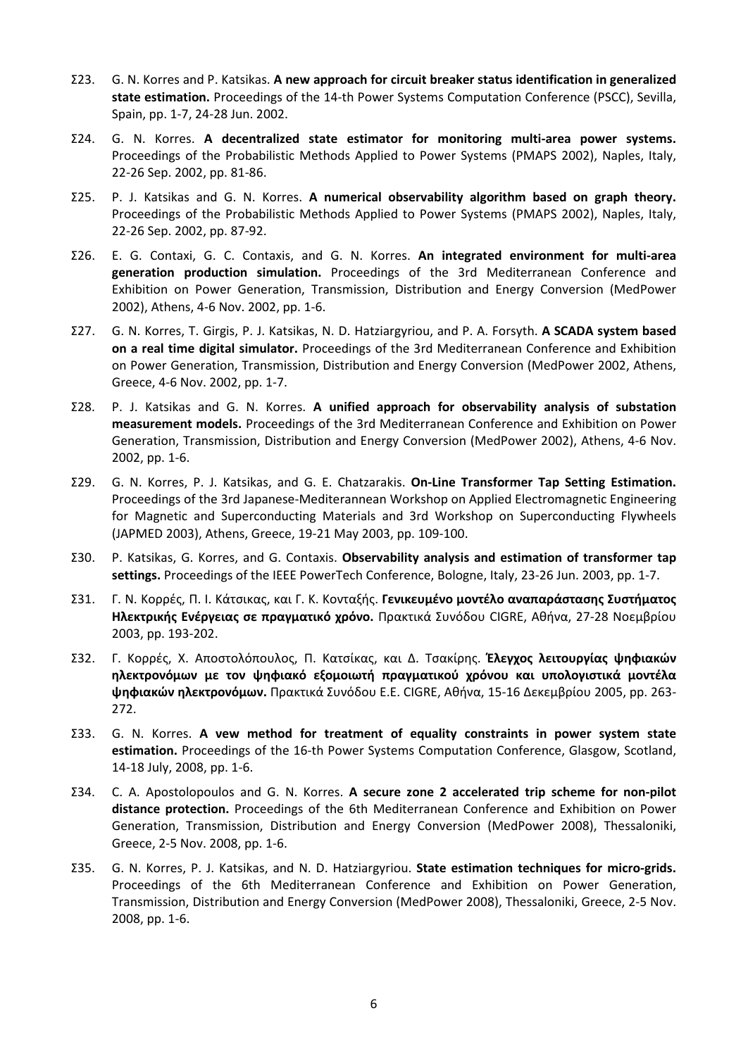- Σ23. G. N. Korres and P. Katsikas. **A new approach for circuit breaker status identification in generalized state estimation.** Proceedings of the 14-th Power Systems Computation Conference (PSCC), Sevilla, Spain, pp. 1-7, 24-28 Jun. 2002.
- Σ24. G. N. Korres. **A decentralized state estimator for monitoring multi-area power systems.** Proceedings of the Probabilistic Methods Applied to Power Systems (PMAPS 2002), Naples, Italy, 22-26 Sep. 2002, pp. 81-86.
- Σ25. P. J. Katsikas and G. N. Korres. **A numerical observability algorithm based on graph theory.** Proceedings of the Probabilistic Methods Applied to Power Systems (PMAPS 2002), Naples, Italy, 22-26 Sep. 2002, pp. 87-92.
- Σ26. E. G. Contaxi, G. C. Contaxis, and G. N. Korres. **An integrated environment for multi-area generation production simulation.** Proceedings of the 3rd Mediterranean Conference and Exhibition on Power Generation, Transmission, Distribution and Energy Conversion (MedPower 2002), Athens, 4-6 Nov. 2002, pp. 1-6.
- Σ27. G. N. Korres, T. Girgis, P. J. Katsikas, N. D. Hatziargyriou, and P. A. Forsyth. **A SCADA system based on a real time digital simulator.** Proceedings of the 3rd Mediterranean Conference and Exhibition on Power Generation, Transmission, Distribution and Energy Conversion (MedPower 2002, Athens, Greece, 4-6 Nov. 2002, pp. 1-7.
- Σ28. P. J. Katsikas and G. N. Korres. **A unified approach for observability analysis of substation measurement models.** Proceedings of the 3rd Mediterranean Conference and Exhibition on Power Generation, Transmission, Distribution and Energy Conversion (MedPower 2002), Athens, 4-6 Nov. 2002, pp. 1-6.
- Σ29. G. N. Korres, P. J. Katsikas, and G. E. Chatzarakis. **On-Line Transformer Tap Setting Estimation.** Proceedings of the 3rd Japanese-Mediterannean Workshop on Applied Electromagnetic Engineering for Magnetic and Superconducting Materials and 3rd Workshop on Superconducting Flywheels (JAPMED 2003), Athens, Greece, 19-21 May 2003, pp. 109-100.
- Σ30. P. Katsikas, G. Korres, and G. Contaxis. **Observability analysis and estimation of transformer tap settings.** Proceedings of the IEEE PowerTech Conference, Bologne, Italy, 23-26 Jun. 2003, pp. 1-7.
- Σ31. Γ. N. Κορρές, Π. Ι. Κάτσικας, και Γ. K. Κονταξής. **Γενικευμένο μοντέλο αναπαράστασης Συστήματος Ηλεκτρικής Ενέργειας σε πραγματικό χρόνο.** Πρακτικά Συνόδου CIGRE, Αθήνα, 27-28 Νοεμβρίου 2003, pp. 193-202.
- Σ32. Γ. Κορρές, Χ. Αποστολόπουλος, Π. Κατσίκας, και Δ. Τσακίρης. **Έλεγχος λειτουργίας ψηφιακών ηλεκτρονόμων με τον ψηφιακό εξομοιωτή πραγματικού χρόνου και υπολογιστικά μοντέλα ψηφιακών ηλεκτρονόμων.** Πρακτικά Συνόδου Ε.Ε. CIGRE, Αθήνα, 15-16 Δεκεμβρίου 2005, pp. 263- 272.
- Σ33. G. N. Korres. **A νew method for treatment of equality constraints in power system state estimation.** Proceedings of the 16-th Power Systems Computation Conference, Glasgow, Scotland, 14-18 July, 2008, pp. 1-6.
- Σ34. C. A. Apostolopoulos and G. N. Korres. **A secure zone 2 accelerated trip scheme for non-pilot distance protection.** Proceedings of the 6th Mediterranean Conference and Exhibition on Power Generation, Transmission, Distribution and Energy Conversion (MedPower 2008), Thessaloniki, Greece, 2-5 Nov. 2008, pp. 1-6.
- Σ35. G. N. Korres, P. J. Katsikas, and N. D. Hatziargyriou. **State estimation techniques for micro-grids.** Proceedings of the 6th Mediterranean Conference and Exhibition on Power Generation, Transmission, Distribution and Energy Conversion (MedPower 2008), Thessaloniki, Greece, 2-5 Nov. 2008, pp. 1-6.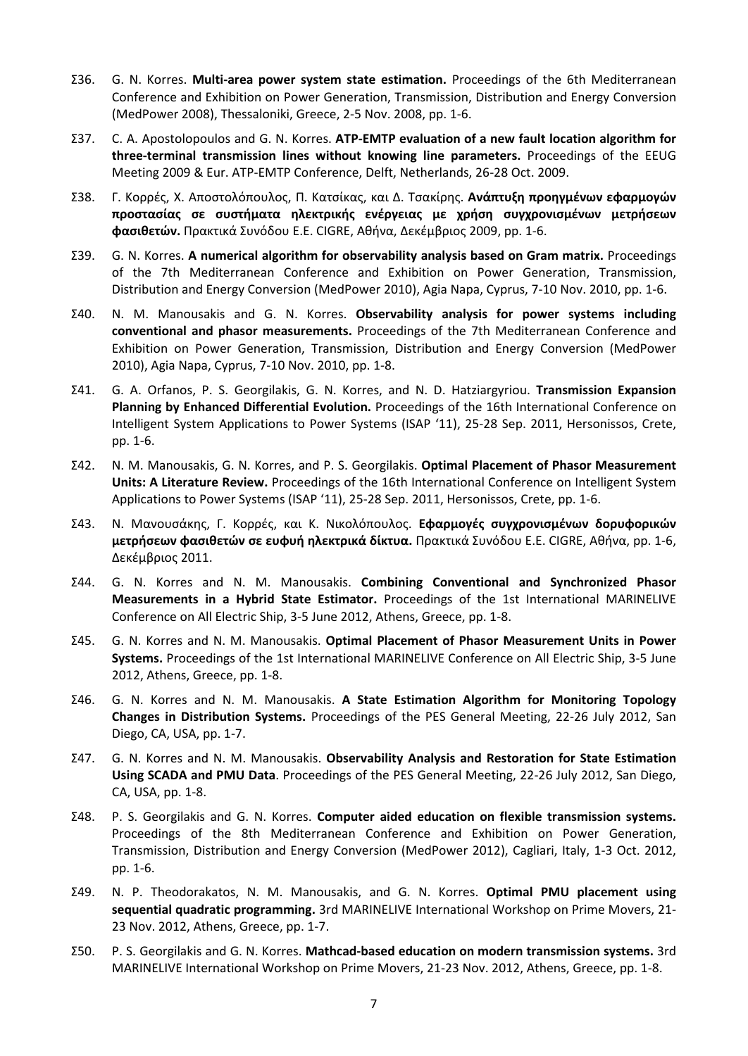- Σ36. G. N. Korres. **Multi-area power system state estimation.** Proceedings of the 6th Mediterranean Conference and Exhibition on Power Generation, Transmission, Distribution and Energy Conversion (MedPower 2008), Thessaloniki, Greece, 2-5 Nov. 2008, pp. 1-6.
- Σ37. C. A. Apostolopoulos and G. N. Korres. **ATP-EMTP evaluation of a new fault location algorithm for three-terminal transmission lines without knowing line parameters.** Proceedings of the EEUG Meeting 2009 & Eur. ATP-EMTP Conference, Delft, Netherlands, 26-28 Oct. 2009.
- Σ38. Γ. Κορρές, Χ. Αποστολόπουλος, Π. Κατσίκας, και Δ. Τσακίρης. **Ανάπτυξη προηγμένων εφαρμογών προστασίας σε συστήματα ηλεκτρικής ενέργειας με χρήση συγχρονισμένων μετρήσεων φασιθετών.** Πρακτικά Συνόδου Ε.Ε. CIGRE, Αθήνα, Δεκέμβριος 2009, pp. 1-6.
- Σ39. G. N. Korres. **A numerical algorithm for observability analysis based on Gram matrix.** Proceedings of the 7th Mediterranean Conference and Exhibition on Power Generation, Transmission, Distribution and Energy Conversion (MedPower 2010), Agia Napa, Cyprus, 7-10 Nov. 2010, pp. 1-6.
- Σ40. N. M. Manousakis and G. N. Korres. **Observability analysis for power systems including conventional and phasor measurements.** Proceedings of the 7th Mediterranean Conference and Exhibition on Power Generation, Transmission, Distribution and Energy Conversion (MedPower 2010), Agia Napa, Cyprus, 7-10 Nov. 2010, pp. 1-8.
- Σ41. G. A. Orfanos, P. S. Georgilakis, G. N. Korres, and N. D. Hatziargyriou. **Transmission Expansion Planning by Enhanced Differential Evolution.** Proceedings of the 16th International Conference on Intelligent System Applications to Power Systems (ISAP '11), 25-28 Sep. 2011, Hersonissos, Crete, pp. 1-6.
- Σ42. N. M. Manousakis, G. N. Korres, and P. S. Georgilakis. **Optimal Placement of Phasor Measurement Units: A Literature Review.** Proceedings of the 16th International Conference on Intelligent System Applications to Power Systems (ISAP '11), 25-28 Sep. 2011, Hersonissos, Crete, pp. 1-6.
- Σ43. Ν. Μανουσάκης, Γ. Κορρές, και Κ. Νικολόπουλος. **Εφαρμογές συγχρονισμένων δορυφορικών μετρήσεων φασιθετών σε ευφυή ηλεκτρικά δίκτυα.** Πρακτικά Συνόδου Ε.Ε. CIGRE, Αθήνα, pp. 1-6, Δεκέμβριος 2011.
- Σ44. G. N. Korres and N. M. Manousakis. **Combining Conventional and Synchronized Phasor Measurements in a Hybrid State Estimator.** Proceedings of the 1st International MARINELIVE Conference on All Electric Ship, 3‐5 June 2012, Athens, Greece, pp. 1-8.
- Σ45. G. N. Korres and N. M. Manousakis. **Optimal Placement of Phasor Measurement Units in Power Systems.** Proceedings of the 1st International MARINELIVE Conference on All Electric Ship, 3‐5 June 2012, Athens, Greece, pp. 1-8.
- Σ46. G. N. Korres and N. M. Manousakis. **A State Estimation Algorithm for Monitoring Topology Changes in Distribution Systems.** Proceedings of the PES General Meeting, 22-26 July 2012, San Diego, CA, USA, pp. 1-7.
- Σ47. G. N. Korres and N. M. Manousakis. **Observability Analysis and Restoration for State Estimation Using SCADA and PMU Data**. Proceedings of the PES General Meeting, 22-26 July 2012, San Diego, CA, USA, pp. 1-8.
- Σ48. P. S. Georgilakis and G. N. Korres. **Computer aided education on flexible transmission systems.** Proceedings of the 8th Mediterranean Conference and Exhibition on Power Generation, Transmission, Distribution and Energy Conversion (MedPower 2012), Cagliari, Italy, 1-3 Oct. 2012, pp. 1-6.
- Σ49. N. P. Theodorakatos, N. M. Manousakis, and G. N. Korres. **Optimal PMU placement using sequential quadratic programming.** 3rd MARINELIVE International Workshop on Prime Movers, 21- 23 Nov. 2012, Athens, Greece, pp. 1-7.
- Σ50. P. S. Georgilakis and G. N. Korres. **Mathcad-based education on modern transmission systems.** 3rd MARINELIVE International Workshop on Prime Movers, 21-23 Nov. 2012, Athens, Greece, pp. 1-8.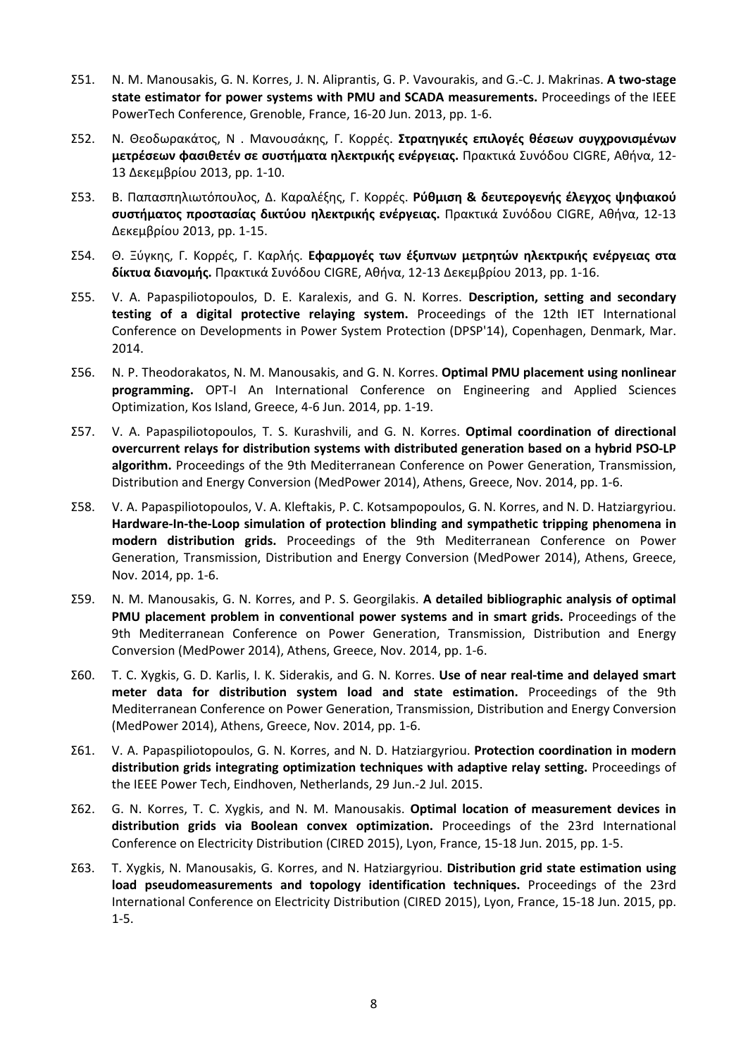- Σ51. N. M. Manousakis, G. N. Korres, J. N. Aliprantis, G. P. Vavourakis, and G.-C. J. Makrinas. **A two-stage state estimator for power systems with PMU and SCADA measurements.** Proceedings of the IEEE PowerTech Conference, Grenoble, France, 16-20 Jun. 2013, pp. 1-6.
- Σ52. Ν. Θεοδωρακάτος, Ν . Μανουσάκης, Γ. Κορρές. **Στρατηγικές επιλογές θέσεων συγχρονισμένων μετρέσεων φασιθετέν σε συστήματα ηλεκτρικής ενέργειας.** Πρακτικά Συνόδου CIGRE, Αθήνα, 12- 13 Δεκεμβρίου 2013, pp. 1-10.
- Σ53. Β. Παπασπηλιωτόπουλος, Δ. Καραλέξης, Γ. Κορρές. **Ρύθμιση & δευτερογενής έλεγχος ψηφιακού συστήματος προστασίας δικτύου ηλεκτρικής ενέργειας.** Πρακτικά Συνόδου CIGRE, Αθήνα, 12-13 Δεκεμβρίου 2013, pp. 1-15.
- Σ54. Θ. Ξύγκης, Γ. Κορρές, Γ. Καρλής. **Εφαρμογές των έξυπνων μετρητών ηλεκτρικής ενέργειας στα δίκτυα διανομής.** Πρακτικά Συνόδου CIGRE, Αθήνα, 12-13 Δεκεμβρίου 2013, pp. 1-16.
- Σ55. V. A. Papaspiliotopoulos, D. E. Karalexis, and G. N. Korres. **Description, setting and secondary testing of a digital protective relaying system.** Proceedings of the 12th IET International Conference on Developments in Power System Protection (DPSP'14), Copenhagen, Denmark, Mar. 2014.
- Σ56. N. P. Theodorakatos, N. M. Manousakis, and G. N. Korres. **Optimal PMU placement using nonlinear programming.** OPT-I An International Conference on Engineering and Applied Sciences Optimization, Kos Island, Greece, 4-6 Jun. 2014, pp. 1-19.
- Σ57. V. A. Papaspiliotopoulos, T. S. Kurashvili, and G. N. Korres. **Optimal coordination of directional overcurrent relays for distribution systems with distributed generation based on a hybrid PSO-LP algorithm.** Proceedings of the 9th Mediterranean Conference on Power Generation, Transmission, Distribution and Energy Conversion (MedPower 2014), Athens, Greece, Nov. 2014, pp. 1-6.
- Σ58. V. A. Papaspiliotopoulos, V. A. Kleftakis, P. C. Kotsampopoulos, G. N. Korres, and N. D. Hatziargyriou. **Hardware-In-the-Loop simulation of protection blinding and sympathetic tripping phenomena in modern distribution grids.** Proceedings of the 9th Mediterranean Conference on Power Generation, Transmission, Distribution and Energy Conversion (MedPower 2014), Athens, Greece, Nov. 2014, pp. 1-6.
- Σ59. N. M. Manousakis, G. N. Korres, and P. S. Georgilakis. **A detailed bibliographic analysis of optimal PMU placement problem in conventional power systems and in smart grids.** Proceedings of the 9th Mediterranean Conference on Power Generation, Transmission, Distribution and Energy Conversion (MedPower 2014), Athens, Greece, Nov. 2014, pp. 1-6.
- Σ60. T. C. Xygkis, G. D. Karlis, I. K. Siderakis, and G. N. Korres. **Use of near real-time and delayed smart meter data for distribution system load and state estimation.** Proceedings of the 9th Mediterranean Conference on Power Generation, Transmission, Distribution and Energy Conversion (MedPower 2014), Athens, Greece, Nov. 2014, pp. 1-6.
- Σ61. V. A. Papaspiliotopoulos, G. N. Korres, and N. D. Hatziargyriou. **Protection coordination in modern distribution grids integrating optimization techniques with adaptive relay setting.** Proceedings of the IEEE Power Tech, Eindhoven, Netherlands, 29 Jun.-2 Jul. 2015.
- Σ62. G. N. Korres, T. C. Xygkis, and N. M. Manousakis. **Optimal location of measurement devices in distribution grids via Boolean convex optimization.** Proceedings of the 23rd International Conference on Electricity Distribution (CIRED 2015), Lyon, France, 15-18 Jun. 2015, pp. 1-5.
- Σ63. T. Xygkis, N. Manousakis, G. Korres, and N. Hatziargyriou. **Distribution grid state estimation using load pseudomeasurements and topology identification techniques.** Proceedings of the 23rd International Conference on Electricity Distribution (CIRED 2015), Lyon, France, 15-18 Jun. 2015, pp. 1-5.